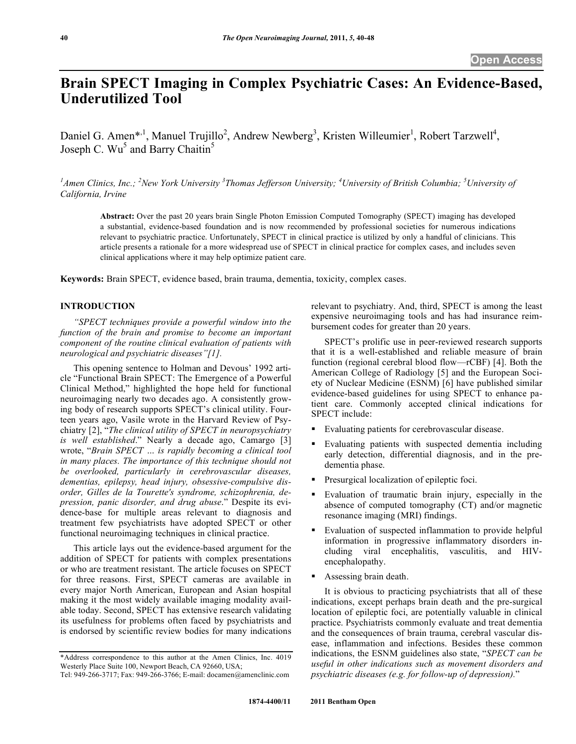# **Brain SPECT Imaging in Complex Psychiatric Cases: An Evidence-Based, Underutilized Tool**

Daniel G. Amen\*<sup>1</sup>, Manuel Trujillo<sup>2</sup>, Andrew Newberg<sup>3</sup>, Kristen Willeumier<sup>1</sup>, Robert Tarzwell<sup>4</sup>, Joseph C. Wu<sup>5</sup> and Barry Chaitin<sup>5</sup>

<sup>1</sup> Amen Clinics, Inc.; <sup>2</sup>New York University <sup>3</sup> Thomas Jefferson University; <sup>4</sup> University of British Columbia; <sup>5</sup> University of *California, Irvine* 

**Abstract:** Over the past 20 years brain Single Photon Emission Computed Tomography (SPECT) imaging has developed a substantial, evidence-based foundation and is now recommended by professional societies for numerous indications relevant to psychiatric practice. Unfortunately, SPECT in clinical practice is utilized by only a handful of clinicians. This article presents a rationale for a more widespread use of SPECT in clinical practice for complex cases, and includes seven clinical applications where it may help optimize patient care.

**Keywords:** Brain SPECT, evidence based, brain trauma, dementia, toxicity, complex cases.

# **INTRODUCTION**

 *"SPECT techniques provide a powerful window into the function of the brain and promise to become an important component of the routine clinical evaluation of patients with neurological and psychiatric diseases"[1].* 

 This opening sentence to Holman and Devous' 1992 article "Functional Brain SPECT: The Emergence of a Powerful Clinical Method," highlighted the hope held for functional neuroimaging nearly two decades ago. A consistently growing body of research supports SPECT's clinical utility. Fourteen years ago, Vasile wrote in the Harvard Review of Psychiatry [2], "*The clinical utility of SPECT in neuropsychiatry is well established*." Nearly a decade ago, Camargo [3] wrote, "*Brain SPECT … is rapidly becoming a clinical tool in many places. The importance of this technique should not be overlooked, particularly in cerebrovascular diseases, dementias, epilepsy, head injury, obsessive-compulsive disorder, Gilles de la Tourette's syndrome, schizophrenia, depression, panic disorder, and drug abuse*." Despite its evidence-base for multiple areas relevant to diagnosis and treatment few psychiatrists have adopted SPECT or other functional neuroimaging techniques in clinical practice.

 This article lays out the evidence-based argument for the addition of SPECT for patients with complex presentations or who are treatment resistant. The article focuses on SPECT for three reasons. First, SPECT cameras are available in every major North American, European and Asian hospital making it the most widely available imaging modality available today. Second, SPECT has extensive research validating its usefulness for problems often faced by psychiatrists and is endorsed by scientific review bodies for many indications

relevant to psychiatry. And, third, SPECT is among the least expensive neuroimaging tools and has had insurance reimbursement codes for greater than 20 years.

 SPECT's prolific use in peer-reviewed research supports that it is a well-established and reliable measure of brain function (regional cerebral blood flow—rCBF) [4]. Both the American College of Radiology [5] and the European Society of Nuclear Medicine (ESNM) [6] have published similar evidence-based guidelines for using SPECT to enhance patient care. Commonly accepted clinical indications for SPECT include:

- Evaluating patients for cerebrovascular disease.
- Evaluating patients with suspected dementia including early detection, differential diagnosis, and in the predementia phase.
- **Presurgical localization of epileptic foci.**
- Evaluation of traumatic brain injury, especially in the absence of computed tomography (CT) and/or magnetic resonance imaging (MRI) findings.
- Evaluation of suspected inflammation to provide helpful information in progressive inflammatory disorders including viral encephalitis, vasculitis, and HIVencephalopathy.
- Assessing brain death.

 It is obvious to practicing psychiatrists that all of these indications, except perhaps brain death and the pre-surgical location of epileptic foci, are potentially valuable in clinical practice. Psychiatrists commonly evaluate and treat dementia and the consequences of brain trauma, cerebral vascular disease, inflammation and infections. Besides these common indications, the ESNM guidelines also state, "*SPECT can be useful in other indications such as movement disorders and psychiatric diseases (e.g. for follow-up of depression).*"

<sup>\*</sup>Address correspondence to this author at the Amen Clinics, Inc. 4019 Westerly Place Suite 100, Newport Beach, CA 92660, USA;

Tel: 949-266-3717; Fax: 949-266-3766; E-mail: docamen@amenclinic.com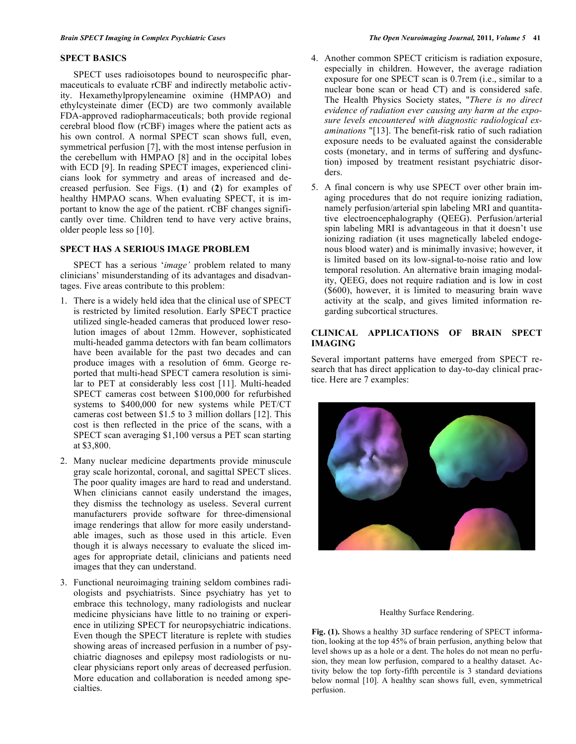## **SPECT BASICS**

 SPECT uses radioisotopes bound to neurospecific pharmaceuticals to evaluate rCBF and indirectly metabolic activity. Hexamethylpropyleneamine oximine (HMPAO) and ethylcysteinate dimer (ECD) are two commonly available FDA-approved radiopharmaceuticals; both provide regional cerebral blood flow (rCBF) images where the patient acts as his own control. A normal SPECT scan shows full, even, symmetrical perfusion [7], with the most intense perfusion in the cerebellum with HMPAO [8] and in the occipital lobes with ECD [9]. In reading SPECT images, experienced clinicians look for symmetry and areas of increased and decreased perfusion. See Figs. (**1**) and (**2**) for examples of healthy HMPAO scans. When evaluating SPECT, it is important to know the age of the patient. rCBF changes significantly over time. Children tend to have very active brains, older people less so [10].

# **SPECT HAS A SERIOUS IMAGE PROBLEM**

 SPECT has a serious '*image'* problem related to many clinicians' misunderstanding of its advantages and disadvantages. Five areas contribute to this problem:

- 1. There is a widely held idea that the clinical use of SPECT is restricted by limited resolution. Early SPECT practice utilized single-headed cameras that produced lower resolution images of about 12mm. However, sophisticated multi-headed gamma detectors with fan beam collimators have been available for the past two decades and can produce images with a resolution of 6mm. George reported that multi-head SPECT camera resolution is similar to PET at considerably less cost [11]. Multi-headed SPECT cameras cost between \$100,000 for refurbished systems to \$400,000 for new systems while PET/CT cameras cost between \$1.5 to 3 million dollars [12]. This cost is then reflected in the price of the scans, with a SPECT scan averaging \$1,100 versus a PET scan starting at \$3,800.
- 2. Many nuclear medicine departments provide minuscule gray scale horizontal, coronal, and sagittal SPECT slices. The poor quality images are hard to read and understand. When clinicians cannot easily understand the images, they dismiss the technology as useless. Several current manufacturers provide software for three-dimensional image renderings that allow for more easily understandable images, such as those used in this article. Even though it is always necessary to evaluate the sliced images for appropriate detail, clinicians and patients need images that they can understand.
- 3. Functional neuroimaging training seldom combines radiologists and psychiatrists. Since psychiatry has yet to embrace this technology, many radiologists and nuclear medicine physicians have little to no training or experience in utilizing SPECT for neuropsychiatric indications. Even though the SPECT literature is replete with studies showing areas of increased perfusion in a number of psychiatric diagnoses and epilepsy most radiologists or nuclear physicians report only areas of decreased perfusion. More education and collaboration is needed among specialties.
- 4. Another common SPECT criticism is radiation exposure, especially in children. However, the average radiation exposure for one SPECT scan is 0.7rem (i.e., similar to a nuclear bone scan or head CT) and is considered safe. The Health Physics Society states, "*There is no direct evidence of radiation ever causing any harm at the exposure levels encountered with diagnostic radiological examinations* "[13]. The benefit-risk ratio of such radiation exposure needs to be evaluated against the considerable costs (monetary, and in terms of suffering and dysfunction) imposed by treatment resistant psychiatric disorders.
- 5. A final concern is why use SPECT over other brain imaging procedures that do not require ionizing radiation, namely perfusion/arterial spin labeling MRI and quantitative electroencephalography (QEEG). Perfusion/arterial spin labeling MRI is advantageous in that it doesn't use ionizing radiation (it uses magnetically labeled endogenous blood water) and is minimally invasive; however, it is limited based on its low-signal-to-noise ratio and low temporal resolution. An alternative brain imaging modality, QEEG, does not require radiation and is low in cost (\$600), however, it is limited to measuring brain wave activity at the scalp, and gives limited information regarding subcortical structures.

## **CLINICAL APPLICATIONS OF BRAIN SPECT IMAGING**

Several important patterns have emerged from SPECT research that has direct application to day-to-day clinical practice. Here are 7 examples:

Healthy Surface Rendering.

**Fig. (1).** Shows a healthy 3D surface rendering of SPECT information, looking at the top 45% of brain perfusion, anything below that level shows up as a hole or a dent. The holes do not mean no perfusion, they mean low perfusion, compared to a healthy dataset. Activity below the top forty-fifth percentile is 3 standard deviations below normal [10]. A healthy scan shows full, even, symmetrical perfusion.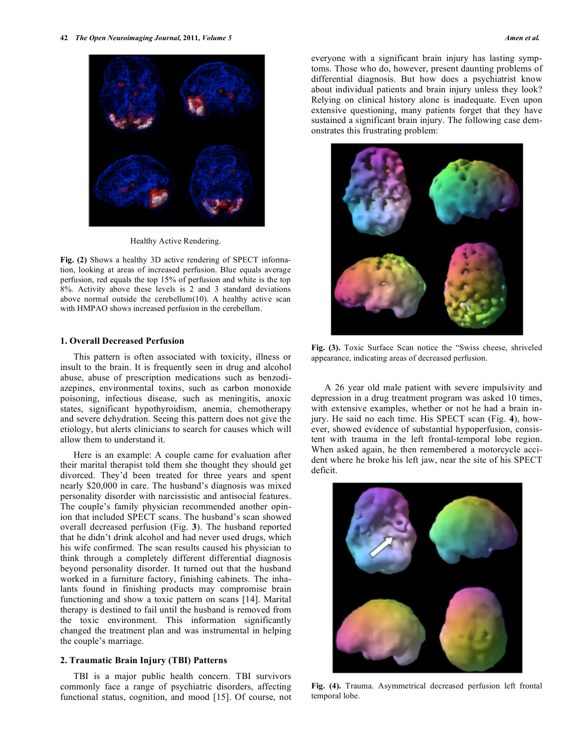

Healthy Active Rendering.

**Fig. (2)** Shows a healthy 3D active rendering of SPECT information, looking at areas of increased perfusion. Blue equals average perfusion, red equals the top 15% of perfusion and white is the top 8%. Activity above these levels is 2 and 3 standard deviations above normal outside the cerebellum $(10)$ . A healthy active scan with HMPAO shows increased perfusion in the cerebellum.

#### **1. Overall Decreased Perfusion**

 This pattern is often associated with toxicity, illness or insult to the brain. It is frequently seen in drug and alcohol abuse, abuse of prescription medications such as benzodiazepines, environmental toxins, such as carbon monoxide poisoning, infectious disease, such as meningitis, anoxic states, significant hypothyroidism, anemia, chemotherapy and severe dehydration. Seeing this pattern does not give the etiology, but alerts clinicians to search for causes which will allow them to understand it.

 Here is an example: A couple came for evaluation after their marital therapist told them she thought they should get divorced. They'd been treated for three years and spent nearly \$20,000 in care. The husband's diagnosis was mixed personality disorder with narcissistic and antisocial features. The couple's family physician recommended another opinion that included SPECT scans. The husband's scan showed overall decreased perfusion (Fig. **3**). The husband reported that he didn't drink alcohol and had never used drugs, which his wife confirmed. The scan results caused his physician to think through a completely different differential diagnosis beyond personality disorder. It turned out that the husband worked in a furniture factory, finishing cabinets. The inhalants found in finishing products may compromise brain functioning and show a toxic pattern on scans [14]. Marital therapy is destined to fail until the husband is removed from the toxic environment. This information significantly changed the treatment plan and was instrumental in helping the couple's marriage.

#### **2. Traumatic Brain Injury (TBI) Patterns**

 TBI is a major public health concern. TBI survivors commonly face a range of psychiatric disorders, affecting functional status, cognition, and mood [15]. Of course, not everyone with a significant brain injury has lasting symptoms. Those who do, however, present daunting problems of differential diagnosis. But how does a psychiatrist know about individual patients and brain injury unless they look? Relying on clinical history alone is inadequate. Even upon extensive questioning, many patients forget that they have sustained a significant brain injury. The following case demonstrates this frustrating problem:



**Fig. (3).** Toxic Surface Scan notice the "Swiss cheese, shriveled appearance, indicating areas of decreased perfusion.

 A 26 year old male patient with severe impulsivity and depression in a drug treatment program was asked 10 times, with extensive examples, whether or not he had a brain injury. He said no each time. His SPECT scan (Fig. **4**), however, showed evidence of substantial hypoperfusion, consistent with trauma in the left frontal-temporal lobe region. When asked again, he then remembered a motorcycle accident where he broke his left jaw, near the site of his SPECT deficit.



**Fig. (4).** Trauma. Asymmetrical decreased perfusion left frontal temporal lobe.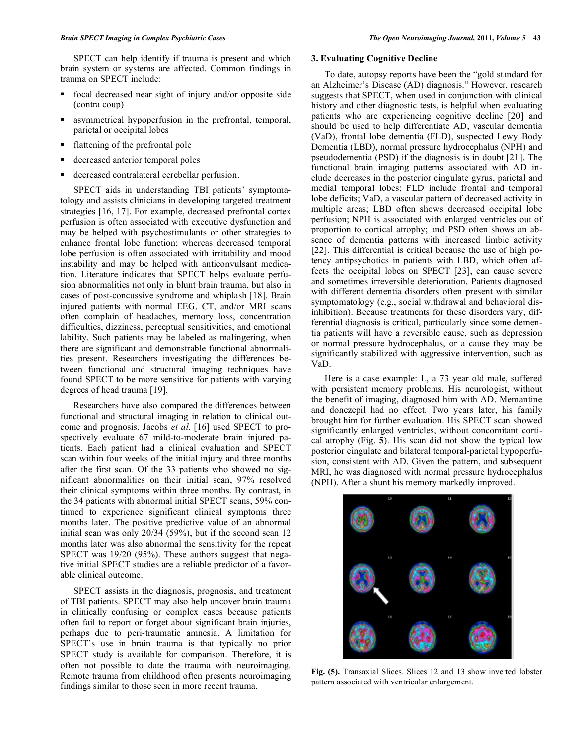SPECT can help identify if trauma is present and which brain system or systems are affected. Common findings in trauma on SPECT include:

- focal decreased near sight of injury and/or opposite side (contra coup)
- asymmetrical hypoperfusion in the prefrontal, temporal, parietal or occipital lobes
- flattening of the prefrontal pole
- decreased anterior temporal poles
- decreased contralateral cerebellar perfusion.

 SPECT aids in understanding TBI patients' symptomatology and assists clinicians in developing targeted treatment strategies [16, 17]. For example, decreased prefrontal cortex perfusion is often associated with executive dysfunction and may be helped with psychostimulants or other strategies to enhance frontal lobe function; whereas decreased temporal lobe perfusion is often associated with irritability and mood instability and may be helped with anticonvulsant medication. Literature indicates that SPECT helps evaluate perfusion abnormalities not only in blunt brain trauma, but also in cases of post-concussive syndrome and whiplash [18]. Brain injured patients with normal EEG, CT, and/or MRI scans often complain of headaches, memory loss, concentration difficulties, dizziness, perceptual sensitivities, and emotional lability. Such patients may be labeled as malingering, when there are significant and demonstrable functional abnormalities present. Researchers investigating the differences between functional and structural imaging techniques have found SPECT to be more sensitive for patients with varying degrees of head trauma [19].

 Researchers have also compared the differences between functional and structural imaging in relation to clinical outcome and prognosis. Jacobs *et al*. [16] used SPECT to prospectively evaluate 67 mild-to-moderate brain injured patients. Each patient had a clinical evaluation and SPECT scan within four weeks of the initial injury and three months after the first scan. Of the 33 patients who showed no significant abnormalities on their initial scan, 97% resolved their clinical symptoms within three months. By contrast, in the 34 patients with abnormal initial SPECT scans, 59% continued to experience significant clinical symptoms three months later. The positive predictive value of an abnormal initial scan was only 20/34 (59%), but if the second scan 12 months later was also abnormal the sensitivity for the repeat SPECT was 19/20 (95%). These authors suggest that negative initial SPECT studies are a reliable predictor of a favorable clinical outcome.

 SPECT assists in the diagnosis, prognosis, and treatment of TBI patients. SPECT may also help uncover brain trauma in clinically confusing or complex cases because patients often fail to report or forget about significant brain injuries, perhaps due to peri-traumatic amnesia. A limitation for SPECT's use in brain trauma is that typically no prior SPECT study is available for comparison. Therefore, it is often not possible to date the trauma with neuroimaging. Remote trauma from childhood often presents neuroimaging findings similar to those seen in more recent trauma.

# **3. Evaluating Cognitive Decline**

 To date, autopsy reports have been the "gold standard for an Alzheimer's Disease (AD) diagnosis." However, research suggests that SPECT, when used in conjunction with clinical history and other diagnostic tests, is helpful when evaluating patients who are experiencing cognitive decline [20] and should be used to help differentiate AD, vascular dementia (VaD), frontal lobe dementia (FLD), suspected Lewy Body Dementia (LBD), normal pressure hydrocephalus (NPH) and pseudodementia (PSD) if the diagnosis is in doubt [21]. The functional brain imaging patterns associated with AD include decreases in the posterior cingulate gyrus, parietal and medial temporal lobes; FLD include frontal and temporal lobe deficits; VaD, a vascular pattern of decreased activity in multiple areas; LBD often shows decreased occipital lobe perfusion; NPH is associated with enlarged ventricles out of proportion to cortical atrophy; and PSD often shows an absence of dementia patterns with increased limbic activity [22]. This differential is critical because the use of high potency antipsychotics in patients with LBD, which often affects the occipital lobes on SPECT [23], can cause severe and sometimes irreversible deterioration. Patients diagnosed with different dementia disorders often present with similar symptomatology (e.g., social withdrawal and behavioral disinhibition). Because treatments for these disorders vary, differential diagnosis is critical, particularly since some dementia patients will have a reversible cause, such as depression or normal pressure hydrocephalus, or a cause they may be significantly stabilized with aggressive intervention, such as VaD.

 Here is a case example: L, a 73 year old male, suffered with persistent memory problems. His neurologist, without the benefit of imaging, diagnosed him with AD. Memantine and donezepil had no effect. Two years later, his family brought him for further evaluation. His SPECT scan showed significantly enlarged ventricles, without concomitant cortical atrophy (Fig. **5**). His scan did not show the typical low posterior cingulate and bilateral temporal-parietal hypoperfusion, consistent with AD. Given the pattern, and subsequent MRI, he was diagnosed with normal pressure hydrocephalus (NPH). After a shunt his memory markedly improved.



**Fig. (5).** Transaxial Slices. Slices 12 and 13 show inverted lobster pattern associated with ventricular enlargement.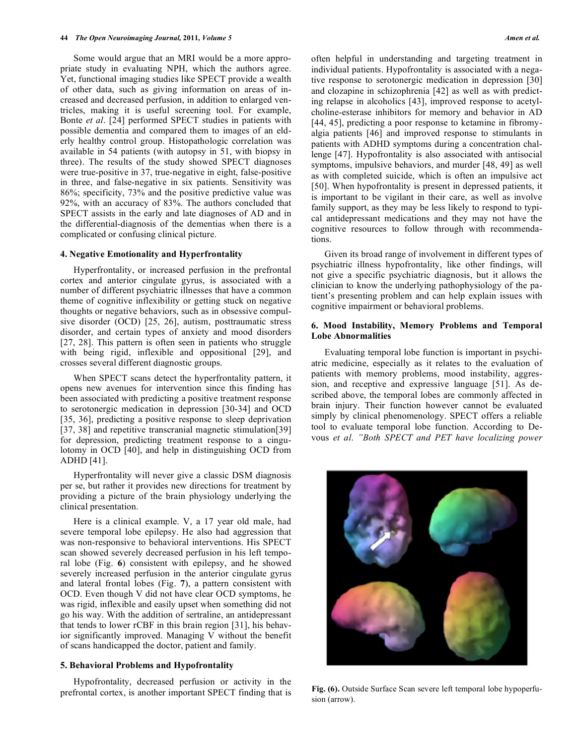Some would argue that an MRI would be a more appropriate study in evaluating NPH, which the authors agree. Yet, functional imaging studies like SPECT provide a wealth of other data, such as giving information on areas of increased and decreased perfusion, in addition to enlarged ventricles, making it is useful screening tool. For example, Bonte *et al*. [24] performed SPECT studies in patients with possible dementia and compared them to images of an elderly healthy control group. Histopathologic correlation was available in 54 patients (with autopsy in 51, with biopsy in three). The results of the study showed SPECT diagnoses were true-positive in 37, true-negative in eight, false-positive in three, and false-negative in six patients. Sensitivity was 86%; specificity, 73% and the positive predictive value was 92%, with an accuracy of 83%. The authors concluded that SPECT assists in the early and late diagnoses of AD and in the differential-diagnosis of the dementias when there is a complicated or confusing clinical picture.

### **4. Negative Emotionality and Hyperfrontality**

 Hyperfrontality, or increased perfusion in the prefrontal cortex and anterior cingulate gyrus, is associated with a number of different psychiatric illnesses that have a common theme of cognitive inflexibility or getting stuck on negative thoughts or negative behaviors, such as in obsessive compulsive disorder (OCD) [25, 26], autism, posttraumatic stress disorder, and certain types of anxiety and mood disorders [27, 28]. This pattern is often seen in patients who struggle with being rigid, inflexible and oppositional [29], and crosses several different diagnostic groups.

 When SPECT scans detect the hyperfrontality pattern, it opens new avenues for intervention since this finding has been associated with predicting a positive treatment response to serotonergic medication in depression [30-34] and OCD [35, 36], predicting a positive response to sleep deprivation [37, 38] and repetitive transcranial magnetic stimulation[39] for depression, predicting treatment response to a cingulotomy in OCD [40], and help in distinguishing OCD from ADHD [41].

 Hyperfrontality will never give a classic DSM diagnosis per se, but rather it provides new directions for treatment by providing a picture of the brain physiology underlying the clinical presentation.

 Here is a clinical example. V, a 17 year old male, had severe temporal lobe epilepsy. He also had aggression that was non-responsive to behavioral interventions. His SPECT scan showed severely decreased perfusion in his left temporal lobe (Fig. **6**) consistent with epilepsy, and he showed severely increased perfusion in the anterior cingulate gyrus and lateral frontal lobes (Fig. **7**), a pattern consistent with OCD. Even though V did not have clear OCD symptoms, he was rigid, inflexible and easily upset when something did not go his way. With the addition of sertraline, an antidepressant that tends to lower rCBF in this brain region [31], his behavior significantly improved. Managing V without the benefit of scans handicapped the doctor, patient and family.

## **5. Behavioral Problems and Hypofrontality**

 Hypofrontality, decreased perfusion or activity in the prefrontal cortex, is another important SPECT finding that is often helpful in understanding and targeting treatment in individual patients. Hypofrontality is associated with a negative response to serotonergic medication in depression [30] and clozapine in schizophrenia [42] as well as with predicting relapse in alcoholics [43], improved response to acetylcholine-esterase inhibitors for memory and behavior in AD [44, 45], predicting a poor response to ketamine in fibromyalgia patients [46] and improved response to stimulants in patients with ADHD symptoms during a concentration challenge [47]. Hypofrontality is also associated with antisocial symptoms, impulsive behaviors, and murder [48, 49] as well as with completed suicide, which is often an impulsive act [50]. When hypofrontality is present in depressed patients, it is important to be vigilant in their care, as well as involve family support, as they may be less likely to respond to typical antidepressant medications and they may not have the cognitive resources to follow through with recommendations.

 Given its broad range of involvement in different types of psychiatric illness hypofrontality, like other findings, will not give a specific psychiatric diagnosis, but it allows the clinician to know the underlying pathophysiology of the patient's presenting problem and can help explain issues with cognitive impairment or behavioral problems.

## **6. Mood Instability, Memory Problems and Temporal Lobe Abnormalities**

 Evaluating temporal lobe function is important in psychiatric medicine, especially as it relates to the evaluation of patients with memory problems, mood instability, aggression, and receptive and expressive language [51]. As described above, the temporal lobes are commonly affected in brain injury. Their function however cannot be evaluated simply by clinical phenomenology. SPECT offers a reliable tool to evaluate temporal lobe function. According to Devous *et al*. *"Both SPECT and PET have localizing power* 



**Fig. (6).** Outside Surface Scan severe left temporal lobe hypoperfusion (arrow).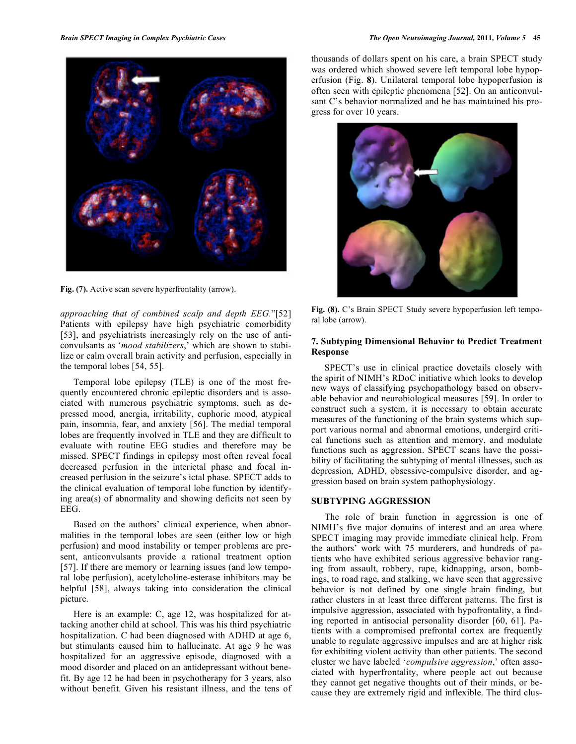

**Fig. (7).** Active scan severe hyperfrontality (arrow).

*approaching that of combined scalp and depth EEG.*"[52] Patients with epilepsy have high psychiatric comorbidity [53], and psychiatrists increasingly rely on the use of anticonvulsants as '*mood stabilizers*,' which are shown to stabilize or calm overall brain activity and perfusion, especially in the temporal lobes [54, 55].

 Temporal lobe epilepsy (TLE) is one of the most frequently encountered chronic epileptic disorders and is associated with numerous psychiatric symptoms, such as depressed mood, anergia, irritability, euphoric mood, atypical pain, insomnia, fear, and anxiety [56]. The medial temporal lobes are frequently involved in TLE and they are difficult to evaluate with routine EEG studies and therefore may be missed. SPECT findings in epilepsy most often reveal focal decreased perfusion in the interictal phase and focal increased perfusion in the seizure's ictal phase. SPECT adds to the clinical evaluation of temporal lobe function by identifying area(s) of abnormality and showing deficits not seen by EEG.

 Based on the authors' clinical experience, when abnormalities in the temporal lobes are seen (either low or high perfusion) and mood instability or temper problems are present, anticonvulsants provide a rational treatment option [57]. If there are memory or learning issues (and low temporal lobe perfusion), acetylcholine-esterase inhibitors may be helpful [58], always taking into consideration the clinical picture.

 Here is an example: C, age 12, was hospitalized for attacking another child at school. This was his third psychiatric hospitalization. C had been diagnosed with ADHD at age 6, but stimulants caused him to hallucinate. At age 9 he was hospitalized for an aggressive episode, diagnosed with a mood disorder and placed on an antidepressant without benefit. By age 12 he had been in psychotherapy for 3 years, also without benefit. Given his resistant illness, and the tens of thousands of dollars spent on his care, a brain SPECT study was ordered which showed severe left temporal lobe hypoperfusion (Fig. **8**). Unilateral temporal lobe hypoperfusion is often seen with epileptic phenomena [52]. On an anticonvulsant C's behavior normalized and he has maintained his progress for over 10 years.



**Fig. (8).** C's Brain SPECT Study severe hypoperfusion left temporal lobe (arrow).

# **7. Subtyping Dimensional Behavior to Predict Treatment Response**

 SPECT's use in clinical practice dovetails closely with the spirit of NIMH's RDoC initiative which looks to develop new ways of classifying psychopathology based on observable behavior and neurobiological measures [59]. In order to construct such a system, it is necessary to obtain accurate measures of the functioning of the brain systems which support various normal and abnormal emotions, undergird critical functions such as attention and memory, and modulate functions such as aggression. SPECT scans have the possibility of facilitating the subtyping of mental illnesses, such as depression, ADHD, obsessive-compulsive disorder, and aggression based on brain system pathophysiology.

## **SUBTYPING AGGRESSION**

 The role of brain function in aggression is one of NIMH's five major domains of interest and an area where SPECT imaging may provide immediate clinical help. From the authors' work with 75 murderers, and hundreds of patients who have exhibited serious aggressive behavior ranging from assault, robbery, rape, kidnapping, arson, bombings, to road rage, and stalking, we have seen that aggressive behavior is not defined by one single brain finding, but rather clusters in at least three different patterns. The first is impulsive aggression, associated with hypofrontality, a finding reported in antisocial personality disorder [60, 61]. Patients with a compromised prefrontal cortex are frequently unable to regulate aggressive impulses and are at higher risk for exhibiting violent activity than other patients. The second cluster we have labeled '*compulsive aggression*,' often associated with hyperfrontality, where people act out because they cannot get negative thoughts out of their minds, or because they are extremely rigid and inflexible. The third clus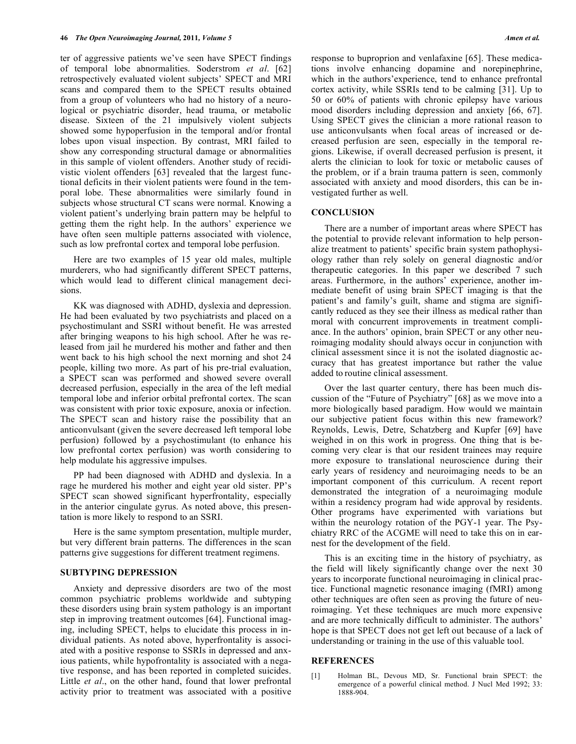ter of aggressive patients we've seen have SPECT findings of temporal lobe abnormalities. Soderstrom *et al*. [62] retrospectively evaluated violent subjects' SPECT and MRI scans and compared them to the SPECT results obtained from a group of volunteers who had no history of a neurological or psychiatric disorder, head trauma, or metabolic disease. Sixteen of the 21 impulsively violent subjects showed some hypoperfusion in the temporal and/or frontal lobes upon visual inspection. By contrast, MRI failed to show any corresponding structural damage or abnormalities in this sample of violent offenders. Another study of recidivistic violent offenders [63] revealed that the largest functional deficits in their violent patients were found in the temporal lobe. These abnormalities were similarly found in subjects whose structural CT scans were normal. Knowing a violent patient's underlying brain pattern may be helpful to getting them the right help. In the authors' experience we have often seen multiple patterns associated with violence, such as low prefrontal cortex and temporal lobe perfusion.

 Here are two examples of 15 year old males, multiple murderers, who had significantly different SPECT patterns, which would lead to different clinical management decisions.

 KK was diagnosed with ADHD, dyslexia and depression. He had been evaluated by two psychiatrists and placed on a psychostimulant and SSRI without benefit. He was arrested after bringing weapons to his high school. After he was released from jail he murdered his mother and father and then went back to his high school the next morning and shot 24 people, killing two more. As part of his pre-trial evaluation, a SPECT scan was performed and showed severe overall decreased perfusion, especially in the area of the left medial temporal lobe and inferior orbital prefrontal cortex. The scan was consistent with prior toxic exposure, anoxia or infection. The SPECT scan and history raise the possibility that an anticonvulsant (given the severe decreased left temporal lobe perfusion) followed by a psychostimulant (to enhance his low prefrontal cortex perfusion) was worth considering to help modulate his aggressive impulses.

 PP had been diagnosed with ADHD and dyslexia. In a rage he murdered his mother and eight year old sister. PP's SPECT scan showed significant hyperfrontality, especially in the anterior cingulate gyrus. As noted above, this presentation is more likely to respond to an SSRI.

 Here is the same symptom presentation, multiple murder, but very different brain patterns. The differences in the scan patterns give suggestions for different treatment regimens.

#### **SUBTYPING DEPRESSION**

 Anxiety and depressive disorders are two of the most common psychiatric problems worldwide and subtyping these disorders using brain system pathology is an important step in improving treatment outcomes [64]. Functional imaging, including SPECT, helps to elucidate this process in individual patients. As noted above, hyperfrontality is associated with a positive response to SSRIs in depressed and anxious patients, while hypofrontality is associated with a negative response, and has been reported in completed suicides. Little *et al*., on the other hand, found that lower prefrontal activity prior to treatment was associated with a positive

response to buproprion and venlafaxine [65]. These medications involve enhancing dopamine and norepinephrine, which in the authors'experience, tend to enhance prefrontal cortex activity, while SSRIs tend to be calming [31]. Up to 50 or 60% of patients with chronic epilepsy have various mood disorders including depression and anxiety [66, 67]. Using SPECT gives the clinician a more rational reason to use anticonvulsants when focal areas of increased or decreased perfusion are seen, especially in the temporal regions. Likewise, if overall decreased perfusion is present, it alerts the clinician to look for toxic or metabolic causes of the problem, or if a brain trauma pattern is seen, commonly associated with anxiety and mood disorders, this can be investigated further as well.

#### **CONCLUSION**

 There are a number of important areas where SPECT has the potential to provide relevant information to help personalize treatment to patients' specific brain system pathophysiology rather than rely solely on general diagnostic and/or therapeutic categories. In this paper we described 7 such areas. Furthermore, in the authors' experience, another immediate benefit of using brain SPECT imaging is that the patient's and family's guilt, shame and stigma are significantly reduced as they see their illness as medical rather than moral with concurrent improvements in treatment compliance. In the authors' opinion, brain SPECT or any other neuroimaging modality should always occur in conjunction with clinical assessment since it is not the isolated diagnostic accuracy that has greatest importance but rather the value added to routine clinical assessment.

 Over the last quarter century, there has been much discussion of the "Future of Psychiatry" [68] as we move into a more biologically based paradigm. How would we maintain our subjective patient focus within this new framework? Reynolds, Lewis, Detre, Schatzberg and Kupfer [69] have weighed in on this work in progress. One thing that is becoming very clear is that our resident trainees may require more exposure to translational neuroscience during their early years of residency and neuroimaging needs to be an important component of this curriculum. A recent report demonstrated the integration of a neuroimaging module within a residency program had wide approval by residents. Other programs have experimented with variations but within the neurology rotation of the PGY-1 year. The Psychiatry RRC of the ACGME will need to take this on in earnest for the development of the field.

 This is an exciting time in the history of psychiatry, as the field will likely significantly change over the next 30 years to incorporate functional neuroimaging in clinical practice. Functional magnetic resonance imaging (fMRI) among other techniques are often seen as proving the future of neuroimaging. Yet these techniques are much more expensive and are more technically difficult to administer. The authors' hope is that SPECT does not get left out because of a lack of understanding or training in the use of this valuable tool.

#### **REFERENCES**

[1] Holman BL, Devous MD, Sr. Functional brain SPECT: the emergence of a powerful clinical method. J Nucl Med 1992; 33: 1888-904.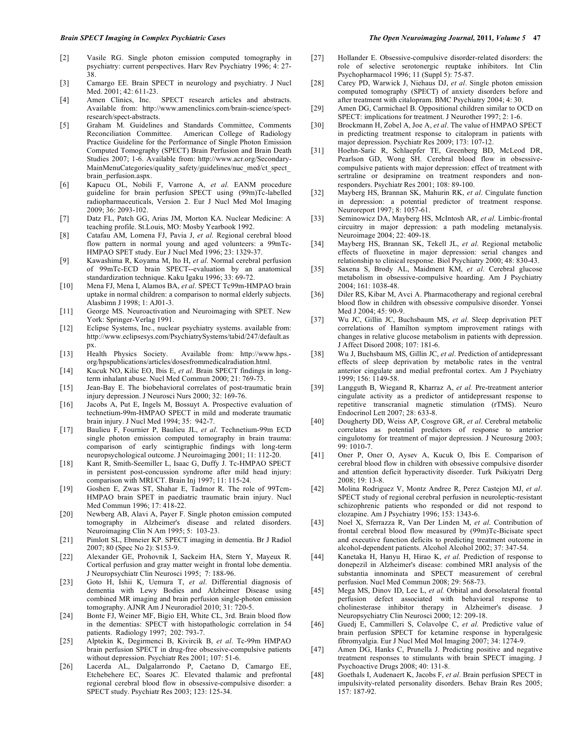#### *Brain SPECT Imaging in Complex Psychiatric Cases The Open Neuroimaging Journal,* **2011***, Volume 5* **47**

- [2] Vasile RG. Single photon emission computed tomography in psychiatry: current perspectives. Harv Rev Psychiatry 1996; 4: 27- 38.
- [3] Camargo EE. Brain SPECT in neurology and psychiatry. J Nucl Med. 2001; 42: 611-23.
- [4] Amen Clinics, Inc. SPECT research articles and abstracts. Available from: http://www.amenclinics.com/brain-science/spectresearch/spect-abstracts.
- [5] Graham M. Guidelines and Standards Committee, Comments American College of Radiology Practice Guideline for the Performance of Single Photon Emission Computed Tomography (SPECT) Brain Perfusion and Brain Death Studies 2007; 1-6. Available from: http://www.acr.org/Secondary-MainMenuCategories/quality\_safety/guidelines/nuc\_med/ct\_spect\_ brain\_perfusion.aspx.
- [6] Kapucu OL, Nobili F, Varrone A, *et al.* EANM procedure guideline for brain perfusion SPECT using (99m)Tc-labelled radiopharmaceuticals, Version 2. Eur J Nucl Med Mol Imaging 2009; 36: 2093-102.
- [7] Datz FL, Patch GG, Arias JM, Morton KA. Nuclear Medicine: A teaching profile. St.Louis, MO: Mosby Yearbook 1992.
- [8] Catafau AM, Lomena FJ, Pavia J, *et al*. Regional cerebral blood flow pattern in normal young and aged volunteers: a 99mTc-HMPAO SPET study. Eur J Nucl Med 1996; 23: 1329-37.
- [9] Kawashima R, Koyama M, Ito H, *et al*. Normal cerebral perfusion of 99mTc-ECD brain SPECT--evaluation by an anatomical standardization technique. Kaku Igaku 1996; 33: 69-72.
- [10] Mena FJ, Mena I, Alamos BA, *et al*. SPECT Tc99m-HMPAO brain uptake in normal children: a comparison to normal elderly subjects. Alasbimn J 1998; 1: AJ01-3.
- [11] George MS. Neuroactivation and Neuroimaging with SPET. New York: Springer-Verlag 1991.
- [12] Eclipse Systems, Inc., nuclear psychiatry systems. available from: http://www.eclipsesys.com/PsychiatrySystems/tabid/247/default.as px.
- [13] Health Physics Society. Available from: http://www.hps. org/hpspublications/articles/dosesfrommedicalradiation.html.
- [14] Kucuk NO, Kilic EO, Ibis E, *et al*. Brain SPECT findings in longterm inhalant abuse. Nucl Med Commun 2000; 21: 769-73.
- [15] Jean-Bay E. The biobehavioral correlates of post-traumatic brain injury depression. J Neurosci Nurs 2000; 32: 169-76.
- [16] Jacobs A, Put E, Ingels M, Bossuyt A. Prospective evaluation of technetium-99m-HMPAO SPECT in mild and moderate traumatic brain injury. J Nucl Med 1994; 35: 942-7.
- [17] Baulieu F, Fournier P, Baulieu JL, *et al*. Technetium-99m ECD single photon emission computed tomography in brain trauma: comparison of early scintigraphic findings with long-term neuropsychological outcome. J Neuroimaging 2001; 11: 112-20.
- [18] Kant R, Smith-Seemiller L, Isaac G, Duffy J. Tc-HMPAO SPECT in persistent post-concussion syndrome after mild head injury: comparison with MRI/CT. Brain Inj 1997; 11: 115-24.
- [19] Goshen E, Zwas ST, Shahar E, Tadmor R. The role of 99Tcm-HMPAO brain SPET in paediatric traumatic brain injury. Nucl Med Commun 1996; 17: 418-22.
- [20] Newberg AB, Alavi A, Payer F. Single photon emission computed tomography in Alzheimer's disease and related disorders. Neuroimaging Clin N Am 1995; 5: 103-23.
- [21] Pimlott SL, Ebmeier KP. SPECT imaging in dementia. Br J Radiol 2007; 80 (Spec No 2): S153-9.
- [22] Alexander GE, Prohovnik I, Sackeim HA, Stern Y, Mayeux R. Cortical perfusion and gray matter weight in frontal lobe dementia. J Neuropsychiatr Clin Neurosci 1995; 7: 188-96.
- [23] Goto H, Ishii K, Uemura T, *et al*. Differential diagnosis of dementia with Lewy Bodies and Alzheimer Disease using combined MR imaging and brain perfusion single-photon emission tomography. AJNR Am J Neuroradiol 2010; 31: 720-5.
- [24] Bonte FJ, Weiner MF, Bigio EH, White CL, 3rd. Brain blood flow in the dementias: SPECT with histopathologic correlation in 54 patients. Radiology 1997; 202: 793-7.
- [25] Alptekin K, Degirmenci B, Kivircik B, *et al*. Tc-99m HMPAO brain perfusion SPECT in drug-free obsessive-compulsive patients without depression. Psychiatr Res 2001; 107: 51-6.
- [26] Lacerda AL, Dalgalarrondo P, Caetano D, Camargo EE, Etchebehere EC, Soares JC. Elevated thalamic and prefrontal regional cerebral blood flow in obsessive-compulsive disorder: a SPECT study. Psychiatr Res 2003; 123: 125-34.
- 
- [27] Hollander E. Obsessive-compulsive disorder-related disorders: the role of selective serotonergic reuptake inhibitors. Int Clin Psychopharmacol 1996; 11 (Suppl 5): 75-87.
- [28] Carey PD, Warwick J, Niehaus DJ, *et al*. Single photon emission computed tomography (SPECT) of anxiety disorders before and after treatment with citalopram. BMC Psychiatry 2004; 4: 30.
- [29] Amen DG, Carmichael B. Oppositional children similar to OCD on SPECT: implications for treatment. J Neurother 1997; 2: 1-6.
- [30] Brockmann H, Zobel A, Joe A, *et al*. The value of HMPAO SPECT in predicting treatment response to citalopram in patients with major depression. Psychiatr Res 2009; 173: 107-12.
- [31] Hoehn-Saric R, Schlaepfer TE, Greenberg BD, McLeod DR, Pearlson GD, Wong SH. Cerebral blood flow in obsessivecompulsive patients with major depression: effect of treatment with sertraline or desipramine on treatment responders and nonresponders. Psychiatr Res 2001; 108: 89-100.
- [32] Mayberg HS, Brannan SK, Mahurin RK, *et al*. Cingulate function in depression: a potential predictor of treatment response. Neuroreport 1997; 8: 1057-61.
- [33] Seminowicz DA, Mayberg HS, McIntosh AR, *et al*. Limbic-frontal circuitry in major depression: a path modeling metanalysis. Neuroimage 2004; 22: 409-18.
- [34] Mayberg HS, Brannan SK, Tekell JL, *et al*. Regional metabolic effects of fluoxetine in major depression: serial changes and relationship to clinical response. Biol Psychiatry 2000; 48: 830-43.
- [35] Saxena S, Brody AL, Maidment KM, *et al*. Cerebral glucose metabolism in obsessive-compulsive hoarding. Am J Psychiatry 2004; 161: 1038-48.
- [36] Diler RS, Kibar M, Avci A. Pharmacotherapy and regional cerebral blood flow in children with obsessive compulsive disorder. Yonsei Med J 2004; 45: 90-9.
- [37] Wu JC, Gillin JC, Buchsbaum MS, *et al*. Sleep deprivation PET correlations of Hamilton symptom improvement ratings with changes in relative glucose metabolism in patients with depression. J Affect Disord 2008; 107: 181-6.
- [38] Wu J, Buchsbaum MS, Gillin JC, *et al*. Prediction of antidepressant effects of sleep deprivation by metabolic rates in the ventral anterior cingulate and medial prefrontal cortex. Am J Psychiatry 1999; 156: 1149-58.
- [39] Langguth B, Wiegand R, Kharraz A, *et al.* Pre-treatment anterior cingulate activity as a predictor of antidepressant response to repetitive transcranial magnetic stimulation (rTMS). Neuro Endocrinol Lett 2007; 28: 633-8.
- [40] Dougherty DD, Weiss AP, Cosgrove GR, *et al*. Cerebral metabolic correlates as potential predictors of response to anterior cingulotomy for treatment of major depression. J Neurosurg 2003; 99: 1010-7.
- [41] Oner P, Oner O, Aysev A, Kucuk O, Ibis E. Comparison of cerebral blood flow in children with obsessive compulsive disorder and attention deficit hyperactivity disorder. Turk Psikiyatri Derg 2008; 19: 13-8.
- [42] Molina Rodriguez V, Montz Andree R, Perez Castejon MJ, *et al*. SPECT study of regional cerebral perfusion in neuroleptic-resistant schizophrenic patients who responded or did not respond to clozapine. Am J Psychiatry 1996; 153: 1343-6.
- [43] Noel X, Sferrazza R, Van Der Linden M, *et al*. Contribution of frontal cerebral blood flow measured by (99m)Tc-Bicisate spect and executive function deficits to predicting treatment outcome in alcohol-dependent patients. Alcohol Alcohol 2002; 37: 347-54.
- [44] Kanetaka H, Hanyu H, Hirao K, *et al*. Prediction of response to donepezil in Alzheimer's disease: combined MRI analysis of the substantia innominata and SPECT measurement of cerebral perfusion. Nucl Med Commun 2008; 29: 568-73.
- [45] Mega MS, Dinov ID, Lee L, *et al.* Orbital and dorsolateral frontal perfusion defect associated with behavioral response to cholinesterase inhibitor therapy in Alzheimer's disease. J Neuropsychiatry Clin Neurosci 2000; 12: 209-18.
- [46] Guedj E, Cammilleri S, Colavolpe C, *et al*. Predictive value of brain perfusion SPECT for ketamine response in hyperalgesic fibromyalgia. Eur J Nucl Med Mol Imaging 2007; 34: 1274-9.
- [47] Amen DG, Hanks C, Prunella J. Predicting positive and negative treatment responses to stimulants with brain SPECT imaging. J Psychoactive Drugs 2008; 40: 131-8.
- [48] Goethals I, Audenaert K, Jacobs F, *et al*. Brain perfusion SPECT in impulsivity-related personality disorders. Behav Brain Res 2005; 157: 187-92.